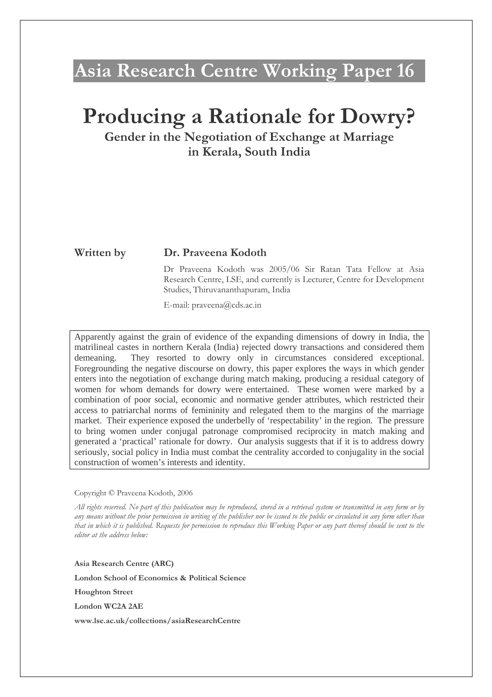# Asia Research Centre Working Paper 16

# Producing a Rationale for Dowry?

Gender in the Negotiation of Exchange at Marriage in Kerala, South India

## Written by Dr. Praveena Kodoth

Dr Praveena Kodoth was 2005/06 Sir Ratan Tata Fellow at Asia Research Centre, LSE, and currently is Lecturer, Centre for Development Studies, Thiruvananthapuram, India

E-mail: praveena@cds.ac.in

Apparently against the grain of evidence of the expanding dimensions of dowry in India, the matrilineal castes in northern Kerala (India) rejected dowry transactions and considered them demeaning. They resorted to dowry only in circumstances considered exceptional. Foregrounding the negative discourse on dowry, this paper explores the ways in which gender enters into the negotiation of exchange during match making, producing a residual category of women for whom demands for dowry were entertained. These women were marked by a combination of poor social, economic and normative gender attributes, which restricted their access to patriarchal norms of femininity and relegated them to the margins of the marriage market. Their experience exposed the underbelly of 'respectability' in the region. The pressure to bring women under conjugal patronage compromised reciprocity in match making and generated a 'practical' rationale for dowry. Our analysis suggests that if it is to address dowry seriously, social policy in India must combat the centrality accorded to conjugality in the social construction of women's interests and identity.

#### Copyright © Praveena Kodoth, 2006

All rights reserved. No part of this publication may be reproduced, stored in a retrieval system or transmitted in any form or by any means without the prior permission in writing of the publisher nor be issued to the public or circulated in any form other than that in which it is published. Requests for permission to reproduce this Working Paper or any part thereof should be sent to the editor at the address below:

Asia Research Centre (ARC)

London School of Economics & Political Science

Houghton Street

London WC2A 2AE

www.lse.ac.uk/collections/asiaResearchCentre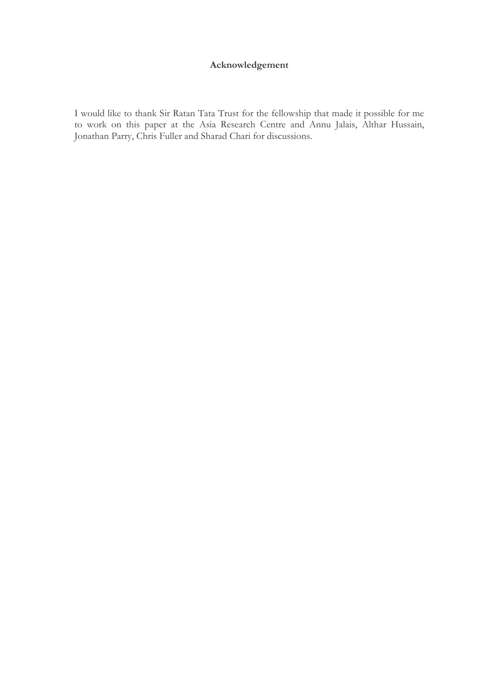## Acknowledgement

I would like to thank Sir Ratan Tata Trust for the fellowship that made it possible for me to work on this paper at the Asia Research Centre and Annu Jalais, Althar Hussain, Jonathan Parry, Chris Fuller and Sharad Chari for discussions.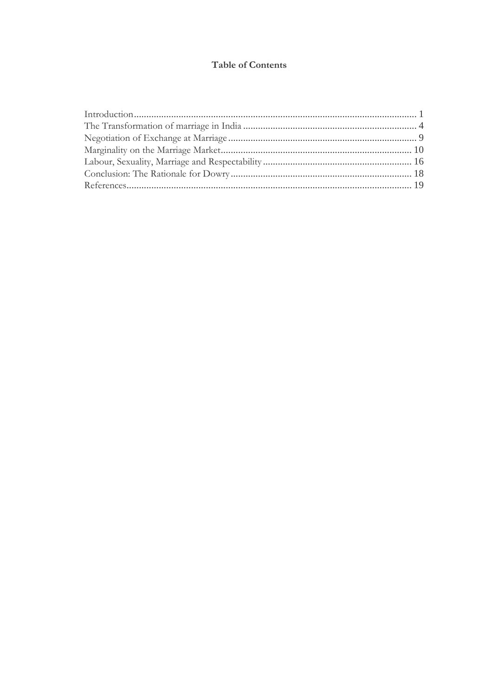## **Table of Contents**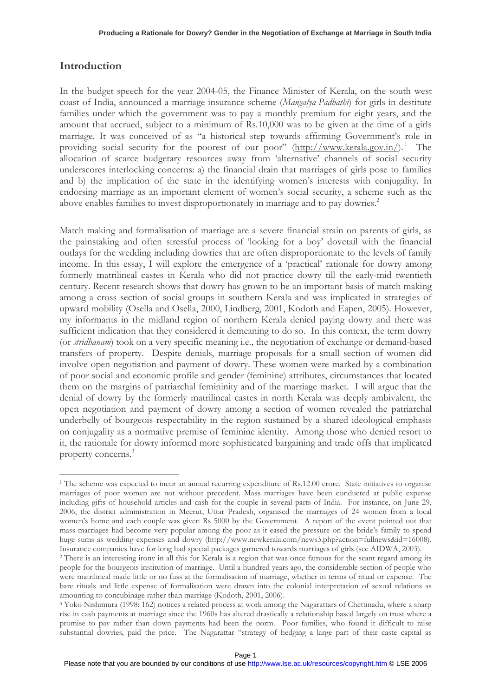# Introduction

 $\overline{a}$ 

In the budget speech for the year 2004-05, the Finance Minister of Kerala, on the south west coast of India, announced a marriage insurance scheme (Mangalya Padhathi) for girls in destitute families under which the government was to pay a monthly premium for eight years, and the amount that accrued, subject to a minimum of Rs.10,000 was to be given at the time of a girls marriage. It was conceived of as "a historical step towards affirming Government's role in providing social security for the poorest of our poor" (http://www.kerala.gov.in/).<sup>1</sup> The allocation of scarce budgetary resources away from 'alternative' channels of social security underscores interlocking concerns: a) the financial drain that marriages of girls pose to families and b) the implication of the state in the identifying women's interests with conjugality. In endorsing marriage as an important element of women's social security, a scheme such as the above enables families to invest disproportionately in marriage and to pay dowries.<sup>2</sup>

Match making and formalisation of marriage are a severe financial strain on parents of girls, as the painstaking and often stressful process of 'looking for a boy' dovetail with the financial outlays for the wedding including dowries that are often disproportionate to the levels of family income. In this essay, I will explore the emergence of a 'practical' rationale for dowry among formerly matrilineal castes in Kerala who did not practice dowry till the early-mid twentieth century. Recent research shows that dowry has grown to be an important basis of match making among a cross section of social groups in southern Kerala and was implicated in strategies of upward mobility (Osella and Osella, 2000, Lindberg, 2001, Kodoth and Eapen, 2005). However, my informants in the midland region of northern Kerala denied paying dowry and there was sufficient indication that they considered it demeaning to do so. In this context, the term dowry (or stridhanam) took on a very specific meaning i.e., the negotiation of exchange or demand-based transfers of property. Despite denials, marriage proposals for a small section of women did involve open negotiation and payment of dowry. These women were marked by a combination of poor social and economic profile and gender (feminine) attributes, circumstances that located them on the margins of patriarchal femininity and of the marriage market. I will argue that the denial of dowry by the formerly matrilineal castes in north Kerala was deeply ambivalent, the open negotiation and payment of dowry among a section of women revealed the patriarchal underbelly of bourgeois respectability in the region sustained by a shared ideological emphasis on conjugality as a normative premise of feminine identity. Among those who denied resort to it, the rationale for dowry informed more sophisticated bargaining and trade offs that implicated property concerns.<sup>3</sup>

<sup>&</sup>lt;sup>1</sup> The scheme was expected to incur an annual recurring expenditure of Rs.12.00 crore. State initiatives to organise marriages of poor women are not without precedent. Mass marriages have been conducted at public expense including gifts of household articles and cash for the couple in several parts of India. For instance, on June 29, 2006, the district administration in Meerut, Uttar Pradesh, organised the marriages of 24 women from a local women's home and each couple was given Rs 5000 by the Government. A report of the event pointed out that mass marriages had become very popular among the poor as it eased the pressure on the bride's family to spend huge sums as wedding expenses and dowry (http://www.newkerala.com/news3.php?action=fullnews&id=16008). Insurance companies have for long had special packages garnered towards marriages of girls (see AIDWA, 2003).

<sup>2</sup> There is an interesting irony in all this for Kerala is a region that was once famous for the scant regard among its people for the bourgeois institution of marriage. Until a hundred years ago, the considerable section of people who were matrilineal made little or no fuss at the formalisation of marriage, whether in terms of ritual or expense. The bare rituals and little expense of formalisation were drawn into the colonial interpretation of sexual relations as amounting to concubinage rather than marriage (Kodoth, 2001, 2006).

<sup>3</sup> Yoko Nishimura (1998: 162) notices a related process at work among the Nagarattars of Chettinadu, where a sharp rise in cash payments at marriage since the 1960s has altered drastically a relationship based largely on trust where a promise to pay rather than down payments had been the norm. Poor families, who found it difficult to raise substantial dowries, paid the price. The Nagarattar "strategy of hedging a large part of their caste capital as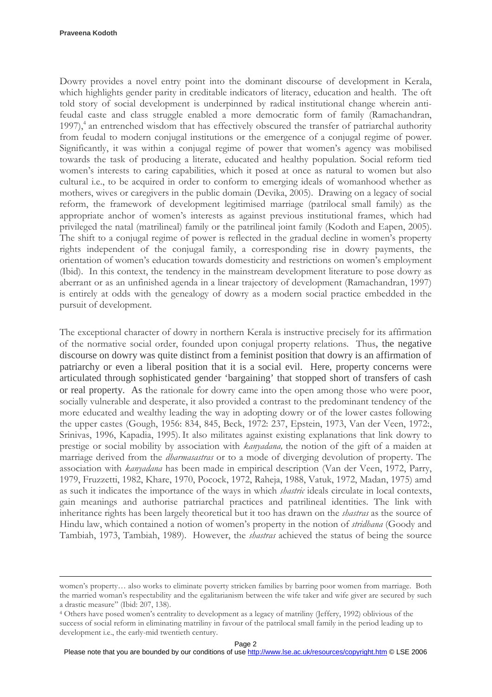$\overline{a}$ 

Dowry provides a novel entry point into the dominant discourse of development in Kerala, which highlights gender parity in creditable indicators of literacy, education and health. The oft told story of social development is underpinned by radical institutional change wherein antifeudal caste and class struggle enabled a more democratic form of family (Ramachandran, 1997),<sup>4</sup> an entrenched wisdom that has effectively obscured the transfer of patriarchal authority from feudal to modern conjugal institutions or the emergence of a conjugal regime of power. Significantly, it was within a conjugal regime of power that women's agency was mobilised towards the task of producing a literate, educated and healthy population. Social reform tied women's interests to caring capabilities, which it posed at once as natural to women but also cultural i.e., to be acquired in order to conform to emerging ideals of womanhood whether as mothers, wives or caregivers in the public domain (Devika, 2005). Drawing on a legacy of social reform, the framework of development legitimised marriage (patrilocal small family) as the appropriate anchor of women's interests as against previous institutional frames, which had privileged the natal (matrilineal) family or the patrilineal joint family (Kodoth and Eapen, 2005). The shift to a conjugal regime of power is reflected in the gradual decline in women's property rights independent of the conjugal family, a corresponding rise in dowry payments, the orientation of women's education towards domesticity and restrictions on women's employment (Ibid). In this context, the tendency in the mainstream development literature to pose dowry as aberrant or as an unfinished agenda in a linear trajectory of development (Ramachandran, 1997) is entirely at odds with the genealogy of dowry as a modern social practice embedded in the pursuit of development.

The exceptional character of dowry in northern Kerala is instructive precisely for its affirmation of the normative social order, founded upon conjugal property relations. Thus, the negative discourse on dowry was quite distinct from a feminist position that dowry is an affirmation of patriarchy or even a liberal position that it is a social evil. Here, property concerns were articulated through sophisticated gender 'bargaining' that stopped short of transfers of cash or real property. As the rationale for dowry came into the open among those who were poor, socially vulnerable and desperate, it also provided a contrast to the predominant tendency of the more educated and wealthy leading the way in adopting dowry or of the lower castes following the upper castes (Gough, 1956: 834, 845, Beck, 1972: 237, Epstein, 1973, Van der Veen, 1972:, Srinivas, 1996, Kapadia, 1995). It also militates against existing explanations that link dowry to prestige or social mobility by association with kanyadana, the notion of the gift of a maiden at marriage derived from the *dharmasastras* or to a mode of diverging devolution of property. The association with kanyadana has been made in empirical description (Van der Veen, 1972, Parry, 1979, Fruzzetti, 1982, Khare, 1970, Pocock, 1972, Raheja, 1988, Vatuk, 1972, Madan, 1975) amd as such it indicates the importance of the ways in which *shastric* ideals circulate in local contexts, gain meanings and authorise patriarchal practices and patrilineal identities. The link with inheritance rights has been largely theoretical but it too has drawn on the shastras as the source of Hindu law, which contained a notion of women's property in the notion of *stridhana* (Goody and Tambiah, 1973, Tambiah, 1989). However, the shastras achieved the status of being the source

women's property… also works to eliminate poverty stricken families by barring poor women from marriage. Both the married woman's respectability and the egalitarianism between the wife taker and wife giver are secured by such a drastic measure" (Ibid: 207, 138).

<sup>4</sup> Others have posed women's centrality to development as a legacy of matriliny (Jeffery, 1992) oblivious of the success of social reform in eliminating matriliny in favour of the patrilocal small family in the period leading up to development i.e., the early-mid twentieth century.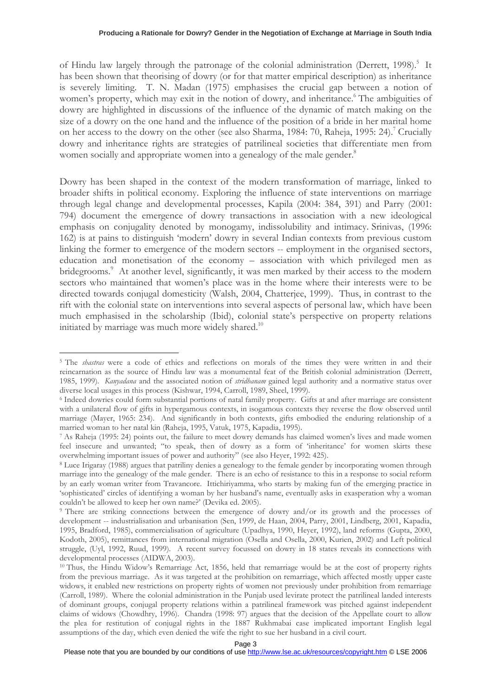of Hindu law largely through the patronage of the colonial administration (Derrett, 1998).<sup>5</sup> It has been shown that theorising of dowry (or for that matter empirical description) as inheritance is severely limiting. T. N. Madan (1975) emphasises the crucial gap between a notion of women's property, which may exit in the notion of dowry, and inheritance.<sup>6</sup> The ambiguities of dowry are highlighted in discussions of the influence of the dynamic of match making on the size of a dowry on the one hand and the influence of the position of a bride in her marital home on her access to the dowry on the other (see also Sharma, 1984: 70, Raheja, 1995: 24).<sup>7</sup> Crucially dowry and inheritance rights are strategies of patrilineal societies that differentiate men from women socially and appropriate women into a genealogy of the male gender.<sup>8</sup>

Dowry has been shaped in the context of the modern transformation of marriage, linked to broader shifts in political economy. Exploring the influence of state interventions on marriage through legal change and developmental processes, Kapila (2004: 384, 391) and Parry (2001: 794) document the emergence of dowry transactions in association with a new ideological emphasis on conjugality denoted by monogamy, indissolubility and intimacy. Srinivas, (1996: 162) is at pains to distinguish 'modern' dowry in several Indian contexts from previous custom linking the former to emergence of the modern sectors -- employment in the organised sectors, education and monetisation of the economy – association with which privileged men as bridegrooms.<sup>9</sup> At another level, significantly, it was men marked by their access to the modern sectors who maintained that women's place was in the home where their interests were to be directed towards conjugal domesticity (Walsh, 2004, Chatterjee, 1999). Thus, in contrast to the rift with the colonial state on interventions into several aspects of personal law, which have been much emphasised in the scholarship (Ibid), colonial state's perspective on property relations initiated by marriage was much more widely shared.<sup>10</sup>

<sup>&</sup>lt;sup>5</sup> The *shastras* were a code of ethics and reflections on morals of the times they were written in and their reincarnation as the source of Hindu law was a monumental feat of the British colonial administration (Derrett, 1985, 1999). Kanyadana and the associated notion of stridhanam gained legal authority and a normative status over diverse local usages in this process (Kishwar, 1994, Carroll, 1989, Sheel, 1999).

<sup>6</sup> Indeed dowries could form substantial portions of natal family property. Gifts at and after marriage are consistent with a unilateral flow of gifts in hypergamous contexts, in isogamous contexts they reverse the flow observed until marriage (Mayer, 1965: 234). And significantly in both contexts, gifts embodied the enduring relationship of a married woman to her natal kin (Raheja, 1995, Vatuk, 1975, Kapadia, 1995).

<sup>7</sup> As Raheja (1995: 24) points out, the failure to meet dowry demands has claimed women's lives and made women feel insecure and unwanted; "to speak, then of dowry as a form of 'inheritance' for women skirts these overwhelming important issues of power and authority" (see also Heyer, 1992: 425).

<sup>8</sup> Luce Irigaray (1988) argues that patriliny denies a genealogy to the female gender by incorporating women through marriage into the genealogy of the male gender. There is an echo of resistance to this in a response to social reform by an early woman writer from Travancore. Ittichiriyamma, who starts by making fun of the emerging practice in 'sophisticated' circles of identifying a woman by her husband's name, eventually asks in exasperation why a woman couldn't be allowed to keep her own name?' (Devika ed. 2005).

<sup>9</sup> There are striking connections between the emergence of dowry and/or its growth and the processes of development -- industrialisation and urbanisation (Sen, 1999, de Haan, 2004, Parry, 2001, Lindberg, 2001, Kapadia, 1995, Bradford, 1985), commercialisation of agriculture (Upadhya, 1990, Heyer, 1992), land reforms (Gupta, 2000, Kodoth, 2005), remittances from international migration (Osella and Osella, 2000, Kurien, 2002) and Left political struggle, (Uyl, 1992, Ruud, 1999). A recent survey focussed on dowry in 18 states reveals its connections with developmental processes (AIDWA, 2003).

<sup>10</sup> Thus, the Hindu Widow's Remarriage Act, 1856, held that remarriage would be at the cost of property rights from the previous marriage. As it was targeted at the prohibition on remarriage, which affected mostly upper caste widows, it enabled new restrictions on property rights of women not previously under prohibition from remarriage (Carroll, 1989). Where the colonial administration in the Punjab used levirate protect the patrilineal landed interests of dominant groups, conjugal property relations within a patrilineal framework was pitched against independent claims of widows (Chowdhry, 1996). Chandra (1998: 97) argues that the decision of the Appellate court to allow the plea for restitution of conjugal rights in the 1887 Rukhmabai case implicated important English legal assumptions of the day, which even denied the wife the right to sue her husband in a civil court.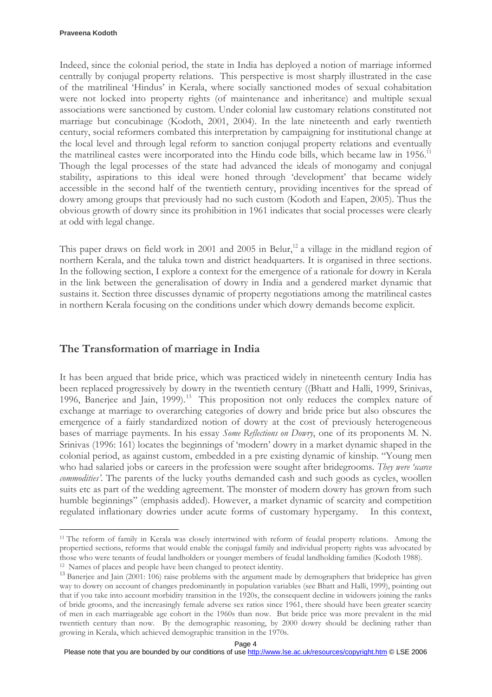$\overline{a}$ 

Indeed, since the colonial period, the state in India has deployed a notion of marriage informed centrally by conjugal property relations. This perspective is most sharply illustrated in the case of the matrilineal 'Hindus' in Kerala, where socially sanctioned modes of sexual cohabitation were not locked into property rights (of maintenance and inheritance) and multiple sexual associations were sanctioned by custom. Under colonial law customary relations constituted not marriage but concubinage (Kodoth, 2001, 2004). In the late nineteenth and early twentieth century, social reformers combated this interpretation by campaigning for institutional change at the local level and through legal reform to sanction conjugal property relations and eventually the matrilineal castes were incorporated into the Hindu code bills, which became law in 1956.<sup>11</sup> Though the legal processes of the state had advanced the ideals of monogamy and conjugal stability, aspirations to this ideal were honed through 'development' that became widely accessible in the second half of the twentieth century, providing incentives for the spread of dowry among groups that previously had no such custom (Kodoth and Eapen, 2005). Thus the obvious growth of dowry since its prohibition in 1961 indicates that social processes were clearly at odd with legal change.

This paper draws on field work in 2001 and 2005 in Belur,<sup>12</sup> a village in the midland region of northern Kerala, and the taluka town and district headquarters. It is organised in three sections. In the following section, I explore a context for the emergence of a rationale for dowry in Kerala in the link between the generalisation of dowry in India and a gendered market dynamic that sustains it. Section three discusses dynamic of property negotiations among the matrilineal castes in northern Kerala focusing on the conditions under which dowry demands become explicit.

# The Transformation of marriage in India

It has been argued that bride price, which was practiced widely in nineteenth century India has been replaced progressively by dowry in the twentieth century ((Bhatt and Halli, 1999, Srinivas, 1996, Banerjee and Jain, 1999).<sup>13</sup> This proposition not only reduces the complex nature of exchange at marriage to overarching categories of dowry and bride price but also obscures the emergence of a fairly standardized notion of dowry at the cost of previously heterogeneous bases of marriage payments. In his essay Some Reflections on Dowry, one of its proponents M. N. Srinivas (1996: 161) locates the beginnings of 'modern' dowry in a market dynamic shaped in the colonial period, as against custom, embedded in a pre existing dynamic of kinship. "Young men who had salaried jobs or careers in the profession were sought after bridegrooms. They were 'scarce commodities'. The parents of the lucky youths demanded cash and such goods as cycles, woollen suits etc as part of the wedding agreement. The monster of modern dowry has grown from such humble beginnings" (emphasis added). However, a market dynamic of scarcity and competition regulated inflationary dowries under acute forms of customary hypergamy. In this context,

<sup>&</sup>lt;sup>11</sup> The reform of family in Kerala was closely intertwined with reform of feudal property relations. Among the propertied sections, reforms that would enable the conjugal family and individual property rights was advocated by those who were tenants of feudal landholders or younger members of feudal landholding families (Kodoth 1988). <sup>12</sup> Names of places and people have been changed to protect identity.

<sup>&</sup>lt;sup>13</sup> Banerjee and Jain (2001: 106) raise problems with the argument made by demographers that brideprice has given way to dowry on account of changes predominantly in population variables (see Bhatt and Halli, 1999), pointing out that if you take into account morbidity transition in the 1920s, the consequent decline in widowers joining the ranks of bride grooms, and the increasingly female adverse sex ratios since 1961, there should have been greater scarcity of men in each marriageable age cohort in the 1960s than now. But bride price was more prevalent in the mid twentieth century than now. By the demographic reasoning, by 2000 dowry should be declining rather than growing in Kerala, which achieved demographic transition in the 1970s.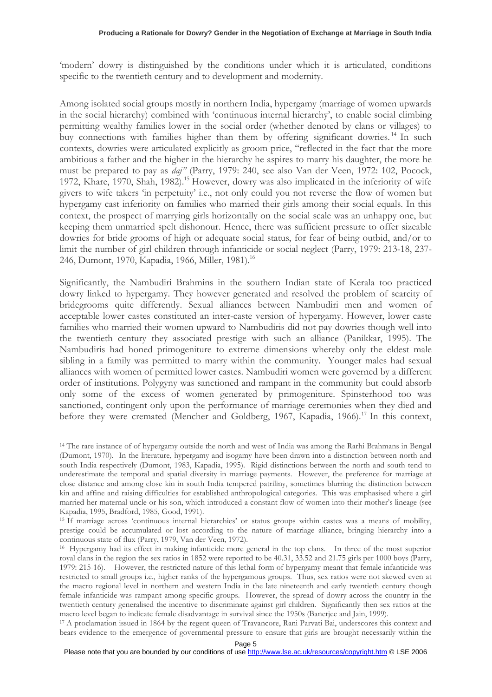'modern' dowry is distinguished by the conditions under which it is articulated, conditions specific to the twentieth century and to development and modernity.

Among isolated social groups mostly in northern India, hypergamy (marriage of women upwards in the social hierarchy) combined with 'continuous internal hierarchy', to enable social climbing permitting wealthy families lower in the social order (whether denoted by clans or villages) to buy connections with families higher than them by offering significant dowries.<sup>14</sup> In such contexts, dowries were articulated explicitly as groom price, "reflected in the fact that the more ambitious a father and the higher in the hierarchy he aspires to marry his daughter, the more he must be prepared to pay as daj" (Parry, 1979: 240, see also Van der Veen, 1972: 102, Pocock, 1972, Khare, 1970, Shah, 1982).<sup>15</sup> However, dowry was also implicated in the inferiority of wife givers to wife takers 'in perpetuity' i.e., not only could you not reverse the flow of women but hypergamy cast inferiority on families who married their girls among their social equals. In this context, the prospect of marrying girls horizontally on the social scale was an unhappy one, but keeping them unmarried spelt dishonour. Hence, there was sufficient pressure to offer sizeable dowries for bride grooms of high or adequate social status, for fear of being outbid, and/or to limit the number of girl children through infanticide or social neglect (Parry, 1979: 213-18, 237- 246, Dumont, 1970, Kapadia, 1966, Miller, 1981).<sup>16</sup>

Significantly, the Nambudiri Brahmins in the southern Indian state of Kerala too practiced dowry linked to hypergamy. They however generated and resolved the problem of scarcity of bridegrooms quite differently. Sexual alliances between Nambudiri men and women of acceptable lower castes constituted an inter-caste version of hypergamy. However, lower caste families who married their women upward to Nambudiris did not pay dowries though well into the twentieth century they associated prestige with such an alliance (Panikkar, 1995). The Nambudiris had honed primogeniture to extreme dimensions whereby only the eldest male sibling in a family was permitted to marry within the community. Younger males had sexual alliances with women of permitted lower castes. Nambudiri women were governed by a different order of institutions. Polygyny was sanctioned and rampant in the community but could absorb only some of the excess of women generated by primogeniture. Spinsterhood too was sanctioned, contingent only upon the performance of marriage ceremonies when they died and before they were cremated (Mencher and Goldberg, 1967, Kapadia, 1966).<sup>17</sup> In this context,

<sup>14</sup> The rare instance of of hypergamy outside the north and west of India was among the Rarhi Brahmans in Bengal (Dumont, 1970). In the literature, hypergamy and isogamy have been drawn into a distinction between north and south India respectively (Dumont, 1983, Kapadia, 1995). Rigid distinctions between the north and south tend to underestimate the temporal and spatial diversity in marriage payments. However, the preference for marriage at close distance and among close kin in south India tempered patriliny, sometimes blurring the distinction between kin and affine and raising difficulties for established anthropological categories. This was emphasised where a girl married her maternal uncle or his son, which introduced a constant flow of women into their mother's lineage (see Kapadia, 1995, Bradford, 1985, Good, 1991).

<sup>&</sup>lt;sup>15</sup> If marriage across 'continuous internal hierarchies' or status groups within castes was a means of mobility, prestige could be accumulated or lost according to the nature of marriage alliance, bringing hierarchy into a continuous state of flux (Parry, 1979, Van der Veen, 1972).

<sup>16</sup> Hypergamy had its effect in making infanticide more general in the top clans. In three of the most superior royal clans in the region the sex ratios in 1852 were reported to be 40.31, 33.52 and 21.75 girls per 1000 boys (Parry, 1979: 215-16). However, the restricted nature of this lethal form of hypergamy meant that female infanticide was restricted to small groups i.e., higher ranks of the hypergamous groups. Thus, sex ratios were not skewed even at the macro regional level in northern and western India in the late nineteenth and early twentieth century though female infanticide was rampant among specific groups. However, the spread of dowry across the country in the twentieth century generalised the incentive to discriminate against girl children. Significantly then sex ratios at the macro level began to indicate female disadvantage in survival since the 1950s (Banerjee and Jain, 1999).

<sup>17</sup> A proclamation issued in 1864 by the regent queen of Travancore, Rani Parvati Bai, underscores this context and bears evidence to the emergence of governmental pressure to ensure that girls are brought necessarily within the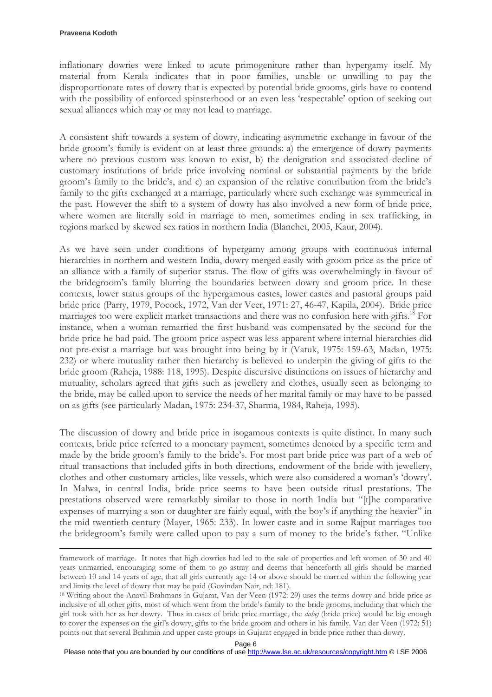$\overline{a}$ 

inflationary dowries were linked to acute primogeniture rather than hypergamy itself. My material from Kerala indicates that in poor families, unable or unwilling to pay the disproportionate rates of dowry that is expected by potential bride grooms, girls have to contend with the possibility of enforced spinsterhood or an even less 'respectable' option of seeking out sexual alliances which may or may not lead to marriage.

A consistent shift towards a system of dowry, indicating asymmetric exchange in favour of the bride groom's family is evident on at least three grounds: a) the emergence of dowry payments where no previous custom was known to exist, b) the denigration and associated decline of customary institutions of bride price involving nominal or substantial payments by the bride groom's family to the bride's, and c) an expansion of the relative contribution from the bride's family to the gifts exchanged at a marriage, particularly where such exchange was symmetrical in the past. However the shift to a system of dowry has also involved a new form of bride price, where women are literally sold in marriage to men, sometimes ending in sex trafficking, in regions marked by skewed sex ratios in northern India (Blanchet, 2005, Kaur, 2004).

As we have seen under conditions of hypergamy among groups with continuous internal hierarchies in northern and western India, dowry merged easily with groom price as the price of an alliance with a family of superior status. The flow of gifts was overwhelmingly in favour of the bridegroom's family blurring the boundaries between dowry and groom price. In these contexts, lower status groups of the hypergamous castes, lower castes and pastoral groups paid bride price (Parry, 1979, Pocock, 1972, Van der Veer, 1971: 27, 46-47, Kapila, 2004). Bride price marriages too were explicit market transactions and there was no confusion here with gifts.<sup>18</sup> For instance, when a woman remarried the first husband was compensated by the second for the bride price he had paid. The groom price aspect was less apparent where internal hierarchies did not pre-exist a marriage but was brought into being by it (Vatuk, 1975: 159-63, Madan, 1975: 232) or where mutuality rather then hierarchy is believed to underpin the giving of gifts to the bride groom (Raheja, 1988: 118, 1995). Despite discursive distinctions on issues of hierarchy and mutuality, scholars agreed that gifts such as jewellery and clothes, usually seen as belonging to the bride, may be called upon to service the needs of her marital family or may have to be passed on as gifts (see particularly Madan, 1975: 234-37, Sharma, 1984, Raheja, 1995).

The discussion of dowry and bride price in isogamous contexts is quite distinct. In many such contexts, bride price referred to a monetary payment, sometimes denoted by a specific term and made by the bride groom's family to the bride's. For most part bride price was part of a web of ritual transactions that included gifts in both directions, endowment of the bride with jewellery, clothes and other customary articles, like vessels, which were also considered a woman's 'dowry'. In Malwa, in central India, bride price seems to have been outside ritual prestations. The prestations observed were remarkably similar to those in north India but "[t]he comparative expenses of marrying a son or daughter are fairly equal, with the boy's if anything the heavier" in the mid twentieth century (Mayer, 1965: 233). In lower caste and in some Rajput marriages too the bridegroom's family were called upon to pay a sum of money to the bride's father. "Unlike

framework of marriage. It notes that high dowries had led to the sale of properties and left women of 30 and 40 years unmarried, encouraging some of them to go astray and deems that henceforth all girls should be married between 10 and 14 years of age, that all girls currently age 14 or above should be married within the following year and limits the level of dowry that may be paid (Govindan Nair, nd: 181).

<sup>18</sup> Writing about the Anavil Brahmans in Gujarat, Van der Veen (1972: 29) uses the terms dowry and bride price as inclusive of all other gifts, most of which went from the bride's family to the bride grooms, including that which the girl took with her as her dowry. Thus in cases of bride price marriage, the dahej (bride price) would be big enough to cover the expenses on the girl's dowry, gifts to the bride groom and others in his family. Van der Veen (1972: 51) points out that several Brahmin and upper caste groups in Gujarat engaged in bride price rather than dowry.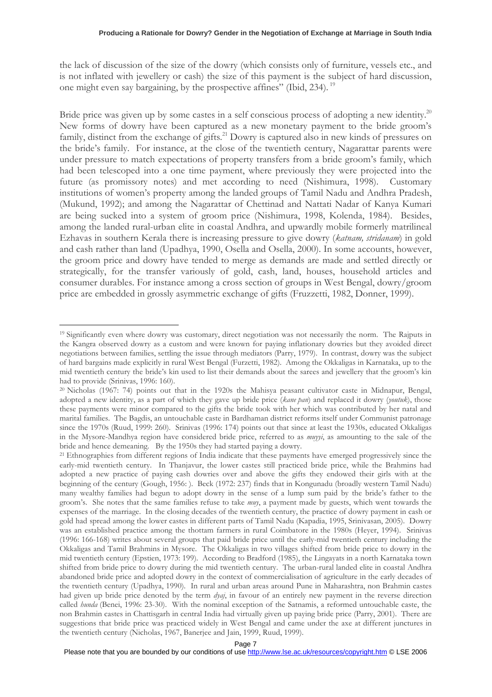the lack of discussion of the size of the dowry (which consists only of furniture, vessels etc., and is not inflated with jewellery or cash) the size of this payment is the subject of hard discussion, one might even say bargaining, by the prospective affines" (Ibid, 234).<sup>19</sup>

Bride price was given up by some castes in a self conscious process of adopting a new identity.<sup>20</sup> New forms of dowry have been captured as a new monetary payment to the bride groom's family, distinct from the exchange of gifts.<sup>21</sup> Dowry is captured also in new kinds of pressures on the bride's family. For instance, at the close of the twentieth century, Nagarattar parents were under pressure to match expectations of property transfers from a bride groom's family, which had been telescoped into a one time payment, where previously they were projected into the future (as promissory notes) and met according to need (Nishimura, 1998). Customary institutions of women's property among the landed groups of Tamil Nadu and Andhra Pradesh, (Mukund, 1992); and among the Nagarattar of Chettinad and Nattati Nadar of Kanya Kumari are being sucked into a system of groom price (Nishimura, 1998, Kolenda, 1984). Besides, among the landed rural-urban elite in coastal Andhra, and upwardly mobile formerly matrilineal Ezhavas in southern Kerala there is increasing pressure to give dowry (katnam, stridanam) in gold and cash rather than land (Upadhya, 1990, Osella and Osella, 2000). In some accounts, however, the groom price and dowry have tended to merge as demands are made and settled directly or strategically, for the transfer variously of gold, cash, land, houses, household articles and consumer durables. For instance among a cross section of groups in West Bengal, dowry/groom price are embedded in grossly asymmetric exchange of gifts (Fruzzetti, 1982, Donner, 1999).

<sup>&</sup>lt;sup>19</sup> Significantly even where dowry was customary, direct negotiation was not necessarily the norm. The Rajputs in the Kangra observed dowry as a custom and were known for paying inflationary dowries but they avoided direct negotiations between families, settling the issue through mediators (Parry, 1979). In contrast, dowry was the subject of hard bargains made explicitly in rural West Bengal (Furzetti, 1982). Among the Okkaligas in Karnataka, up to the mid twentieth century the bride's kin used to list their demands about the sarees and jewellery that the groom's kin had to provide (Srinivas, 1996: 160).

<sup>20</sup> Nicholas (1967: 74) points out that in the 1920s the Mahisya peasant cultivator caste in Midnapur, Bengal, adopted a new identity, as a part of which they gave up bride price (kane pan) and replaced it dowry (youtuk), those these payments were minor compared to the gifts the bride took with her which was contributed by her natal and marital families. The Bagdis, an untouchable caste in Bardhaman district reforms itself under Communist patronage since the 1970s (Ruud, 1999: 260). Srinivas (1996: 174) points out that since at least the 1930s, educated Okkaligas in the Mysore-Mandhya region have considered bride price, referred to as muyyi, as amounting to the sale of the bride and hence demeaning. By the 1950s they had started paying a dowry.

<sup>&</sup>lt;sup>21</sup> Ethnographies from different regions of India indicate that these payments have emerged progressively since the early-mid twentieth century. In Thanjavur, the lower castes still practiced bride price, while the Brahmins had adopted a new practice of paying cash dowries over and above the gifts they endowed their girls with at the beginning of the century (Gough, 1956: ). Beck (1972: 237) finds that in Kongunadu (broadly western Tamil Nadu) many wealthy families had begun to adopt dowry in the sense of a lump sum paid by the bride's father to the groom's. She notes that the same families refuse to take *muy*, a payment made by guests, which went towards the expenses of the marriage. In the closing decades of the twentieth century, the practice of dowry payment in cash or gold had spread among the lower castes in different parts of Tamil Nadu (Kapadia, 1995, Srinivasan, 2005). Dowry was an established practice among the thottam farmers in rural Coimbatore in the 1980s (Heyer, 1994). Srinivas (1996: 166-168) writes about several groups that paid bride price until the early-mid twentieth century including the Okkaligas and Tamil Brahmins in Mysore. The Okkaligas in two villages shifted from bride price to dowry in the mid twentieth century (Epstien, 1973: 199). According to Bradford (1985), the Lingayats in a north Karnataka town shifted from bride price to dowry during the mid twentieth century. The urban-rural landed elite in coastal Andhra abandoned bride price and adopted dowry in the context of commercialisation of agriculture in the early decades of the twentieth century (Upadhya, 1990). In rural and urban areas around Pune in Maharashtra, non Brahmin castes had given up bride price denoted by the term  $dy_{ij}$ , in favour of an entirely new payment in the reverse direction called *hunda* (Benei, 1996: 23-30). With the nominal exception of the Satnamis, a reformed untouchable caste, the non Brahmin castes in Chattisgarh in central India had virtually given up paying bride price (Parry, 2001). There are suggestions that bride price was practiced widely in West Bengal and came under the axe at different junctures in the twentieth century (Nicholas, 1967, Banerjee and Jain, 1999, Ruud, 1999).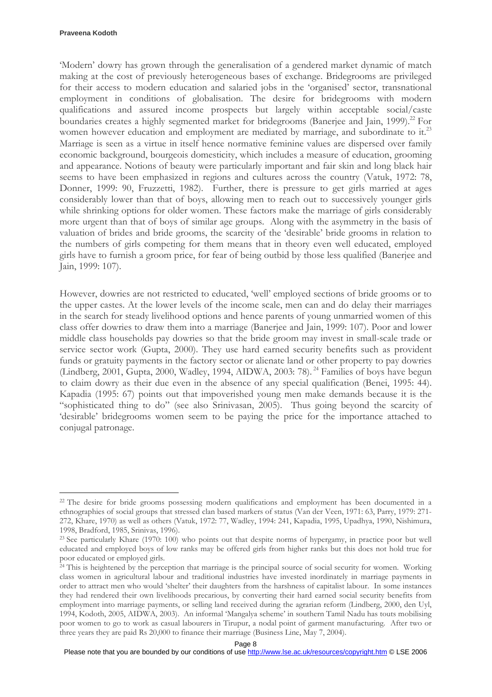#### **Praveena Kodoth**

 $\overline{a}$ 

'Modern' dowry has grown through the generalisation of a gendered market dynamic of match making at the cost of previously heterogeneous bases of exchange. Bridegrooms are privileged for their access to modern education and salaried jobs in the 'organised' sector, transnational employment in conditions of globalisation. The desire for bridegrooms with modern qualifications and assured income prospects but largely within acceptable social/caste boundaries creates a highly segmented market for bridegrooms (Banerjee and Jain, 1999).<sup>22</sup> For women however education and employment are mediated by marriage, and subordinate to it.<sup>23</sup> Marriage is seen as a virtue in itself hence normative feminine values are dispersed over family economic background, bourgeois domesticity, which includes a measure of education, grooming and appearance. Notions of beauty were particularly important and fair skin and long black hair seems to have been emphasized in regions and cultures across the country (Vatuk, 1972: 78, Donner, 1999: 90, Fruzzetti, 1982). Further, there is pressure to get girls married at ages considerably lower than that of boys, allowing men to reach out to successively younger girls while shrinking options for older women. These factors make the marriage of girls considerably more urgent than that of boys of similar age groups. Along with the asymmetry in the basis of valuation of brides and bride grooms, the scarcity of the 'desirable' bride grooms in relation to the numbers of girls competing for them means that in theory even well educated, employed girls have to furnish a groom price, for fear of being outbid by those less qualified (Banerjee and Jain, 1999: 107).

However, dowries are not restricted to educated, 'well' employed sections of bride grooms or to the upper castes. At the lower levels of the income scale, men can and do delay their marriages in the search for steady livelihood options and hence parents of young unmarried women of this class offer dowries to draw them into a marriage (Banerjee and Jain, 1999: 107). Poor and lower middle class households pay dowries so that the bride groom may invest in small-scale trade or service sector work (Gupta, 2000). They use hard earned security benefits such as provident funds or gratuity payments in the factory sector or alienate land or other property to pay dowries (Lindberg, 2001, Gupta, 2000, Wadley, 1994, AIDWA, 2003: 78).<sup>24</sup> Families of boys have begun to claim dowry as their due even in the absence of any special qualification (Benei, 1995: 44). Kapadia (1995: 67) points out that impoverished young men make demands because it is the "sophisticated thing to do" (see also Srinivasan, 2005). Thus going beyond the scarcity of 'desirable' bridegrooms women seem to be paying the price for the importance attached to conjugal patronage.

<sup>&</sup>lt;sup>22</sup> The desire for bride grooms possessing modern qualifications and employment has been documented in a ethnographies of social groups that stressed clan based markers of status (Van der Veen, 1971: 63, Parry, 1979: 271- 272, Khare, 1970) as well as others (Vatuk, 1972: 77, Wadley, 1994: 241, Kapadia, 1995, Upadhya, 1990, Nishimura, 1998, Bradford, 1985, Srinivas, 1996).

<sup>23</sup> See particularly Khare (1970: 100) who points out that despite norms of hypergamy, in practice poor but well educated and employed boys of low ranks may be offered girls from higher ranks but this does not hold true for poor educated or employed girls.

<sup>&</sup>lt;sup>24</sup> This is heightened by the perception that marriage is the principal source of social security for women. Working class women in agricultural labour and traditional industries have invested inordinately in marriage payments in order to attract men who would 'shelter' their daughters from the harshness of capitalist labour. In some instances they had rendered their own livelihoods precarious, by converting their hard earned social security benefits from employment into marriage payments, or selling land received during the agrarian reform (Lindberg, 2000, den Uyl, 1994, Kodoth, 2005, AIDWA, 2003). An informal 'Mangalya scheme' in southern Tamil Nadu has touts mobilising poor women to go to work as casual labourers in Tirupur, a nodal point of garment manufacturing. After two or three years they are paid Rs 20,000 to finance their marriage (Business Line, May 7, 2004).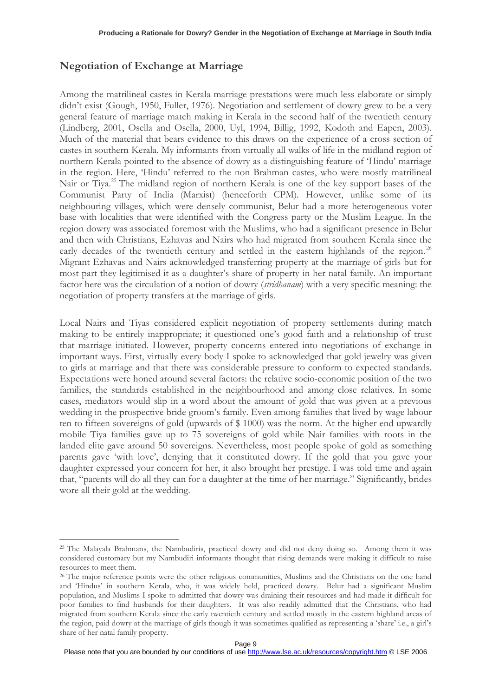# Negotiation of Exchange at Marriage

 $\overline{a}$ 

Among the matrilineal castes in Kerala marriage prestations were much less elaborate or simply didn't exist (Gough, 1950, Fuller, 1976). Negotiation and settlement of dowry grew to be a very general feature of marriage match making in Kerala in the second half of the twentieth century (Lindberg, 2001, Osella and Osella, 2000, Uyl, 1994, Billig, 1992, Kodoth and Eapen, 2003). Much of the material that bears evidence to this draws on the experience of a cross section of castes in southern Kerala. My informants from virtually all walks of life in the midland region of northern Kerala pointed to the absence of dowry as a distinguishing feature of 'Hindu' marriage in the region. Here, 'Hindu' referred to the non Brahman castes, who were mostly matrilineal Nair or Tiya.<sup>25</sup> The midland region of northern Kerala is one of the key support bases of the Communist Party of India (Marxist) (henceforth CPM). However, unlike some of its neighbouring villages, which were densely communist, Belur had a more heterogeneous voter base with localities that were identified with the Congress party or the Muslim League. In the region dowry was associated foremost with the Muslims, who had a significant presence in Belur and then with Christians, Ezhavas and Nairs who had migrated from southern Kerala since the early decades of the twentieth century and settled in the eastern highlands of the region.<sup>26</sup> Migrant Ezhavas and Nairs acknowledged transferring property at the marriage of girls but for most part they legitimised it as a daughter's share of property in her natal family. An important factor here was the circulation of a notion of dowry (stridhanam) with a very specific meaning: the negotiation of property transfers at the marriage of girls.

Local Nairs and Tiyas considered explicit negotiation of property settlements during match making to be entirely inappropriate; it questioned one's good faith and a relationship of trust that marriage initiated. However, property concerns entered into negotiations of exchange in important ways. First, virtually every body I spoke to acknowledged that gold jewelry was given to girls at marriage and that there was considerable pressure to conform to expected standards. Expectations were honed around several factors: the relative socio-economic position of the two families, the standards established in the neighbourhood and among close relatives. In some cases, mediators would slip in a word about the amount of gold that was given at a previous wedding in the prospective bride groom's family. Even among families that lived by wage labour ten to fifteen sovereigns of gold (upwards of \$ 1000) was the norm. At the higher end upwardly mobile Tiya families gave up to 75 sovereigns of gold while Nair families with roots in the landed elite gave around 50 sovereigns. Nevertheless, most people spoke of gold as something parents gave 'with love', denying that it constituted dowry. If the gold that you gave your daughter expressed your concern for her, it also brought her prestige. I was told time and again that, "parents will do all they can for a daughter at the time of her marriage." Significantly, brides wore all their gold at the wedding.

<sup>25</sup> The Malayala Brahmans, the Nambudiris, practiced dowry and did not deny doing so. Among them it was considered customary but my Nambudiri informants thought that rising demands were making it difficult to raise resources to meet them.

<sup>&</sup>lt;sup>26</sup> The major reference points were the other religious communities, Muslims and the Christians on the one hand and 'Hindus' in southern Kerala, who, it was widely held, practiced dowry. Belur had a significant Muslim population, and Muslims I spoke to admitted that dowry was draining their resources and had made it difficult for poor families to find husbands for their daughters. It was also readily admitted that the Christians, who had migrated from southern Kerala since the early twentieth century and settled mostly in the eastern highland areas of the region, paid dowry at the marriage of girls though it was sometimes qualified as representing a 'share' i.e., a girl's share of her natal family property.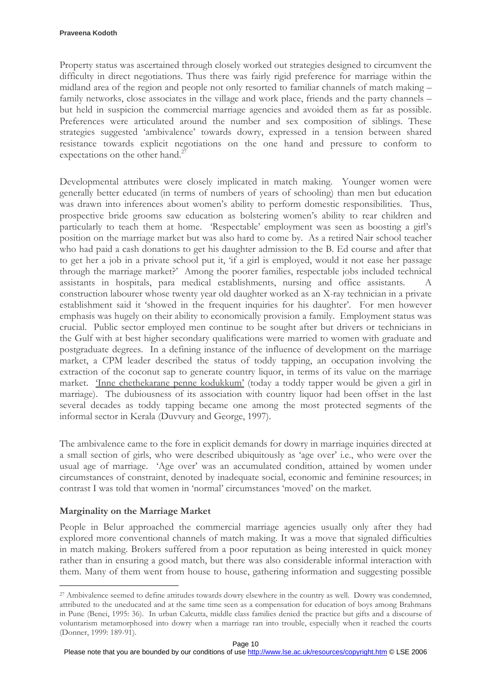Property status was ascertained through closely worked out strategies designed to circumvent the difficulty in direct negotiations. Thus there was fairly rigid preference for marriage within the midland area of the region and people not only resorted to familiar channels of match making – family networks, close associates in the village and work place, friends and the party channels – but held in suspicion the commercial marriage agencies and avoided them as far as possible. Preferences were articulated around the number and sex composition of siblings. These strategies suggested 'ambivalence' towards dowry, expressed in a tension between shared resistance towards explicit negotiations on the one hand and pressure to conform to expectations on the other hand.<sup>2</sup>

Developmental attributes were closely implicated in match making. Younger women were generally better educated (in terms of numbers of years of schooling) than men but education was drawn into inferences about women's ability to perform domestic responsibilities. Thus, prospective bride grooms saw education as bolstering women's ability to rear children and particularly to teach them at home. 'Respectable' employment was seen as boosting a girl's position on the marriage market but was also hard to come by. As a retired Nair school teacher who had paid a cash donations to get his daughter admission to the B. Ed course and after that to get her a job in a private school put it, 'if a girl is employed, would it not ease her passage through the marriage market?' Among the poorer families, respectable jobs included technical assistants in hospitals, para medical establishments, nursing and office assistants. A construction labourer whose twenty year old daughter worked as an X-ray technician in a private establishment said it 'showed in the frequent inquiries for his daughter'. For men however emphasis was hugely on their ability to economically provision a family. Employment status was crucial. Public sector employed men continue to be sought after but drivers or technicians in the Gulf with at best higher secondary qualifications were married to women with graduate and postgraduate degrees. In a defining instance of the influence of development on the marriage market, a CPM leader described the status of toddy tapping, an occupation involving the extraction of the coconut sap to generate country liquor, in terms of its value on the marriage market. 'Inne chethekarane penne kodukkum' (today a toddy tapper would be given a girl in marriage). The dubiousness of its association with country liquor had been offset in the last several decades as toddy tapping became one among the most protected segments of the informal sector in Kerala (Duvvury and George, 1997).

The ambivalence came to the fore in explicit demands for dowry in marriage inquiries directed at a small section of girls, who were described ubiquitously as 'age over' i.e., who were over the usual age of marriage. 'Age over' was an accumulated condition, attained by women under circumstances of constraint, denoted by inadequate social, economic and feminine resources; in contrast I was told that women in 'normal' circumstances 'moved' on the market.

## Marginality on the Marriage Market

 $\overline{a}$ 

People in Belur approached the commercial marriage agencies usually only after they had explored more conventional channels of match making. It was a move that signaled difficulties in match making. Brokers suffered from a poor reputation as being interested in quick money rather than in ensuring a good match, but there was also considerable informal interaction with them. Many of them went from house to house, gathering information and suggesting possible

<sup>27</sup> Ambivalence seemed to define attitudes towards dowry elsewhere in the country as well. Dowry was condemned, attributed to the uneducated and at the same time seen as a compensation for education of boys among Brahmans in Pune (Benei, 1995: 36). In urban Calcutta, middle class families denied the practice but gifts and a discourse of voluntarism metamorphosed into dowry when a marriage ran into trouble, especially when it reached the courts (Donner, 1999: 189-91).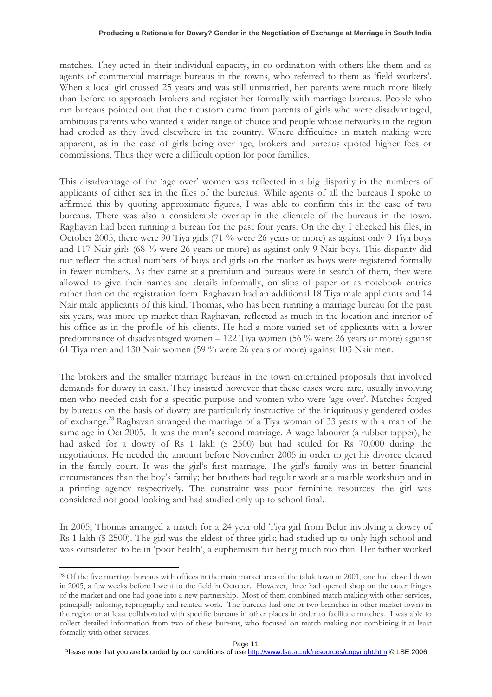matches. They acted in their individual capacity, in co-ordination with others like them and as agents of commercial marriage bureaus in the towns, who referred to them as 'field workers'. When a local girl crossed 25 years and was still unmarried, her parents were much more likely than before to approach brokers and register her formally with marriage bureaus. People who ran bureaus pointed out that their custom came from parents of girls who were disadvantaged, ambitious parents who wanted a wider range of choice and people whose networks in the region had eroded as they lived elsewhere in the country. Where difficulties in match making were apparent, as in the case of girls being over age, brokers and bureaus quoted higher fees or commissions. Thus they were a difficult option for poor families.

This disadvantage of the 'age over' women was reflected in a big disparity in the numbers of applicants of either sex in the files of the bureaus. While agents of all the bureaus I spoke to affirmed this by quoting approximate figures, I was able to confirm this in the case of two bureaus. There was also a considerable overlap in the clientele of the bureaus in the town. Raghavan had been running a bureau for the past four years. On the day I checked his files, in October 2005, there were 90 Tiya girls (71 % were 26 years or more) as against only 9 Tiya boys and 117 Nair girls (68 % were 26 years or more) as against only 9 Nair boys. This disparity did not reflect the actual numbers of boys and girls on the market as boys were registered formally in fewer numbers. As they came at a premium and bureaus were in search of them, they were allowed to give their names and details informally, on slips of paper or as notebook entries rather than on the registration form. Raghavan had an additional 18 Tiya male applicants and 14 Nair male applicants of this kind. Thomas, who has been running a marriage bureau for the past six years, was more up market than Raghavan, reflected as much in the location and interior of his office as in the profile of his clients. He had a more varied set of applicants with a lower predominance of disadvantaged women – 122 Tiya women (56 % were 26 years or more) against 61 Tiya men and 130 Nair women (59 % were 26 years or more) against 103 Nair men.

The brokers and the smaller marriage bureaus in the town entertained proposals that involved demands for dowry in cash. They insisted however that these cases were rare, usually involving men who needed cash for a specific purpose and women who were 'age over'. Matches forged by bureaus on the basis of dowry are particularly instructive of the iniquitously gendered codes of exchange.<sup>28</sup> Raghavan arranged the marriage of a Tiya woman of 33 years with a man of the same age in Oct 2005. It was the man's second marriage. A wage labourer (a rubber tapper), he had asked for a dowry of Rs 1 lakh (\$ 2500) but had settled for Rs 70,000 during the negotiations. He needed the amount before November 2005 in order to get his divorce cleared in the family court. It was the girl's first marriage. The girl's family was in better financial circumstances than the boy's family; her brothers had regular work at a marble workshop and in a printing agency respectively. The constraint was poor feminine resources: the girl was considered not good looking and had studied only up to school final.

In 2005, Thomas arranged a match for a 24 year old Tiya girl from Belur involving a dowry of Rs 1 lakh (\$ 2500). The girl was the eldest of three girls; had studied up to only high school and was considered to be in 'poor health', a euphemism for being much too thin. Her father worked

<sup>&</sup>lt;sup>28</sup> Of the five marriage bureaus with offices in the main market area of the taluk town in 2001, one had closed down in 2005, a few weeks before I went to the field in October. However, three had opened shop on the outer fringes of the market and one had gone into a new partnership. Most of them combined match making with other services, principally tailoring, reprography and related work. The bureaus had one or two branches in other market towns in the region or at least collaborated with specific bureaus in other places in order to facilitate matches. I was able to collect detailed information from two of these bureaus, who focused on match making not combining it at least formally with other services.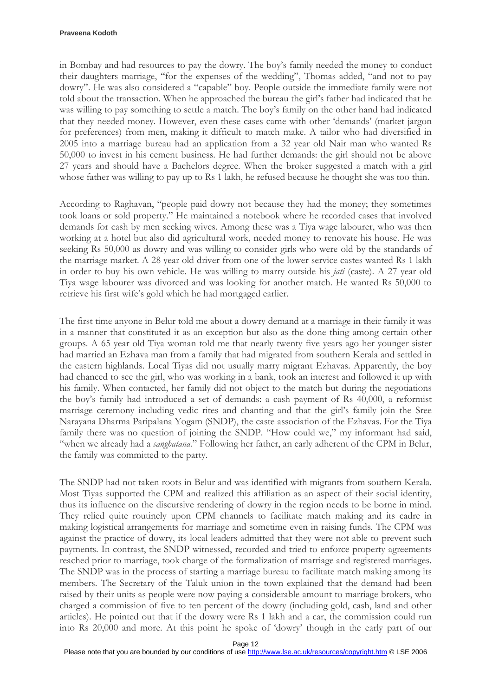in Bombay and had resources to pay the dowry. The boy's family needed the money to conduct their daughters marriage, "for the expenses of the wedding", Thomas added, "and not to pay dowry". He was also considered a "capable" boy. People outside the immediate family were not told about the transaction. When he approached the bureau the girl's father had indicated that he was willing to pay something to settle a match. The boy's family on the other hand had indicated that they needed money. However, even these cases came with other 'demands' (market jargon for preferences) from men, making it difficult to match make. A tailor who had diversified in 2005 into a marriage bureau had an application from a 32 year old Nair man who wanted Rs 50,000 to invest in his cement business. He had further demands: the girl should not be above 27 years and should have a Bachelors degree. When the broker suggested a match with a girl whose father was willing to pay up to Rs 1 lakh, he refused because he thought she was too thin.

According to Raghavan, "people paid dowry not because they had the money; they sometimes took loans or sold property." He maintained a notebook where he recorded cases that involved demands for cash by men seeking wives. Among these was a Tiya wage labourer, who was then working at a hotel but also did agricultural work, needed money to renovate his house. He was seeking Rs 50,000 as dowry and was willing to consider girls who were old by the standards of the marriage market. A 28 year old driver from one of the lower service castes wanted Rs 1 lakh in order to buy his own vehicle. He was willing to marry outside his *jati* (caste). A 27 year old Tiya wage labourer was divorced and was looking for another match. He wanted Rs 50,000 to retrieve his first wife's gold which he had mortgaged earlier.

The first time anyone in Belur told me about a dowry demand at a marriage in their family it was in a manner that constituted it as an exception but also as the done thing among certain other groups. A 65 year old Tiya woman told me that nearly twenty five years ago her younger sister had married an Ezhava man from a family that had migrated from southern Kerala and settled in the eastern highlands. Local Tiyas did not usually marry migrant Ezhavas. Apparently, the boy had chanced to see the girl, who was working in a bank, took an interest and followed it up with his family. When contacted, her family did not object to the match but during the negotiations the boy's family had introduced a set of demands: a cash payment of Rs 40,000, a reformist marriage ceremony including vedic rites and chanting and that the girl's family join the Sree Narayana Dharma Paripalana Yogam (SNDP), the caste association of the Ezhavas. For the Tiya family there was no question of joining the SNDP. "How could we," my informant had said, "when we already had a *sanghatana*." Following her father, an early adherent of the CPM in Belur, the family was committed to the party.

The SNDP had not taken roots in Belur and was identified with migrants from southern Kerala. Most Tiyas supported the CPM and realized this affiliation as an aspect of their social identity, thus its influence on the discursive rendering of dowry in the region needs to be borne in mind. They relied quite routinely upon CPM channels to facilitate match making and its cadre in making logistical arrangements for marriage and sometime even in raising funds. The CPM was against the practice of dowry, its local leaders admitted that they were not able to prevent such payments. In contrast, the SNDP witnessed, recorded and tried to enforce property agreements reached prior to marriage, took charge of the formalization of marriage and registered marriages. The SNDP was in the process of starting a marriage bureau to facilitate match making among its members. The Secretary of the Taluk union in the town explained that the demand had been raised by their units as people were now paying a considerable amount to marriage brokers, who charged a commission of five to ten percent of the dowry (including gold, cash, land and other articles). He pointed out that if the dowry were Rs 1 lakh and a car, the commission could run into Rs 20,000 and more. At this point he spoke of 'dowry' though in the early part of our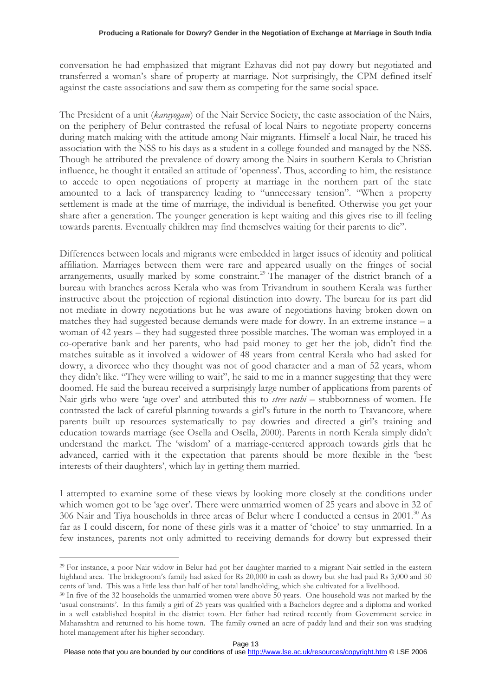conversation he had emphasized that migrant Ezhavas did not pay dowry but negotiated and transferred a woman's share of property at marriage. Not surprisingly, the CPM defined itself against the caste associations and saw them as competing for the same social space.

The President of a unit (karayogam) of the Nair Service Society, the caste association of the Nairs, on the periphery of Belur contrasted the refusal of local Nairs to negotiate property concerns during match making with the attitude among Nair migrants. Himself a local Nair, he traced his association with the NSS to his days as a student in a college founded and managed by the NSS. Though he attributed the prevalence of dowry among the Nairs in southern Kerala to Christian influence, he thought it entailed an attitude of 'openness'. Thus, according to him, the resistance to accede to open negotiations of property at marriage in the northern part of the state amounted to a lack of transparency leading to "unnecessary tension". "When a property settlement is made at the time of marriage, the individual is benefited. Otherwise you get your share after a generation. The younger generation is kept waiting and this gives rise to ill feeling towards parents. Eventually children may find themselves waiting for their parents to die".

Differences between locals and migrants were embedded in larger issues of identity and political affiliation. Marriages between them were rare and appeared usually on the fringes of social arrangements, usually marked by some constraint.<sup>29</sup> The manager of the district branch of a bureau with branches across Kerala who was from Trivandrum in southern Kerala was further instructive about the projection of regional distinction into dowry. The bureau for its part did not mediate in dowry negotiations but he was aware of negotiations having broken down on matches they had suggested because demands were made for dowry. In an extreme instance – a woman of 42 years – they had suggested three possible matches. The woman was employed in a co-operative bank and her parents, who had paid money to get her the job, didn't find the matches suitable as it involved a widower of 48 years from central Kerala who had asked for dowry, a divorcee who they thought was not of good character and a man of 52 years, whom they didn't like. "They were willing to wait", he said to me in a manner suggesting that they were doomed. He said the bureau received a surprisingly large number of applications from parents of Nair girls who were 'age over' and attributed this to *stree vashi* – stubbornness of women. He contrasted the lack of careful planning towards a girl's future in the north to Travancore, where parents built up resources systematically to pay dowries and directed a girl's training and education towards marriage (see Osella and Osella, 2000). Parents in north Kerala simply didn't understand the market. The 'wisdom' of a marriage-centered approach towards girls that he advanced, carried with it the expectation that parents should be more flexible in the 'best interests of their daughters', which lay in getting them married.

I attempted to examine some of these views by looking more closely at the conditions under which women got to be 'age over'. There were unmarried women of 25 years and above in 32 of 306 Nair and Tiya households in three areas of Belur where I conducted a census in 2001.<sup>30</sup> As far as I could discern, for none of these girls was it a matter of 'choice' to stay unmarried. In a few instances, parents not only admitted to receiving demands for dowry but expressed their

<sup>29</sup> For instance, a poor Nair widow in Belur had got her daughter married to a migrant Nair settled in the eastern highland area. The bridegroom's family had asked for Rs 20,000 in cash as dowry but she had paid Rs 3,000 and 50 cents of land. This was a little less than half of her total landholding, which she cultivated for a livelihood.

<sup>30</sup> In five of the 32 households the unmarried women were above 50 years. One household was not marked by the 'usual constraints'. In this family a girl of 25 years was qualified with a Bachelors degree and a diploma and worked in a well established hospital in the district town. Her father had retired recently from Government service in Maharashtra and returned to his home town. The family owned an acre of paddy land and their son was studying hotel management after his higher secondary.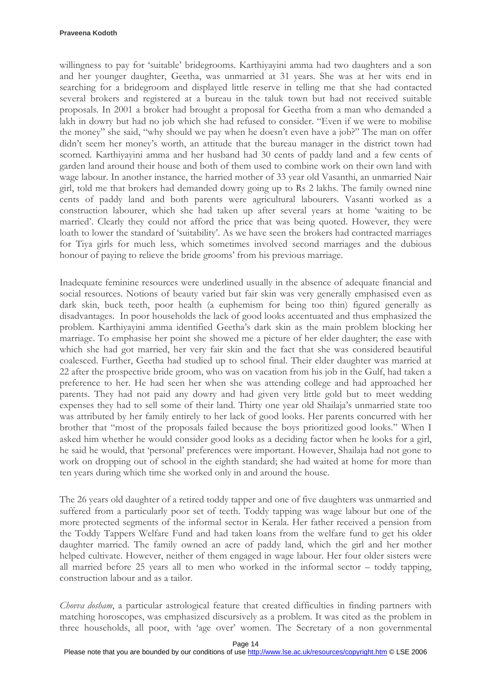#### **Praveena Kodoth**

willingness to pay for 'suitable' bridegrooms. Karthiyayini amma had two daughters and a son and her younger daughter, Geetha, was unmarried at 31 years. She was at her wits end in searching for a bridegroom and displayed little reserve in telling me that she had contacted several brokers and registered at a bureau in the taluk town but had not received suitable proposals. In 2001 a broker had brought a proposal for Geetha from a man who demanded a lakh in dowry but had no job which she had refused to consider. "Even if we were to mobilise the money" she said, "why should we pay when he doesn't even have a job?" The man on offer didn't seem her money's worth, an attitude that the bureau manager in the district town had scorned. Karthiyayini amma and her husband had 30 cents of paddy land and a few cents of garden land around their house and both of them used to combine work on their own land with wage labour. In another instance, the harried mother of 33 year old Vasanthi, an unmarried Nair girl, told me that brokers had demanded dowry going up to Rs 2 lakhs. The family owned nine cents of paddy land and both parents were agricultural labourers. Vasanti worked as a construction labourer, which she had taken up after several years at home 'waiting to be married'. Clearly they could not afford the price that was being quoted. However, they were loath to lower the standard of 'suitability'. As we have seen the brokers had contracted marriages for Tiya girls for much less, which sometimes involved second marriages and the dubious honour of paying to relieve the bride grooms' from his previous marriage.

Inadequate feminine resources were underlined usually in the absence of adequate financial and social resources. Notions of beauty varied but fair skin was very generally emphasised even as dark skin, buck teeth, poor health (a euphemism for being too thin) figured generally as disadvantages. In poor households the lack of good looks accentuated and thus emphasized the problem. Karthiyayini amma identified Geetha's dark skin as the main problem blocking her marriage. To emphasise her point she showed me a picture of her elder daughter; the ease with which she had got married, her very fair skin and the fact that she was considered beautiful coalesced. Further, Geetha had studied up to school final. Their elder daughter was married at 22 after the prospective bride groom, who was on vacation from his job in the Gulf, had taken a preference to her. He had seen her when she was attending college and had approached her parents. They had not paid any dowry and had given very little gold but to meet wedding expenses they had to sell some of their land. Thirty one year old Shailaja's unmarried state too was attributed by her family entirely to her lack of good looks. Her parents concurred with her brother that "most of the proposals failed because the boys prioritized good looks." When I asked him whether he would consider good looks as a deciding factor when he looks for a girl, he said he would, that 'personal' preferences were important. However, Shailaja had not gone to work on dropping out of school in the eighth standard; she had waited at home for more than ten years during which time she worked only in and around the house.

The 26 years old daughter of a retired toddy tapper and one of five daughters was unmarried and suffered from a particularly poor set of teeth. Toddy tapping was wage labour but one of the more protected segments of the informal sector in Kerala. Her father received a pension from the Toddy Tappers Welfare Fund and had taken loans from the welfare fund to get his older daughter married. The family owned an acre of paddy land, which the girl and her mother helped cultivate. However, neither of them engaged in wage labour. Her four older sisters were all married before 25 years all to men who worked in the informal sector – toddy tapping, construction labour and as a tailor.

Chowva dosham, a particular astrological feature that created difficulties in finding partners with matching horoscopes, was emphasized discursively as a problem. It was cited as the problem in three households, all poor, with 'age over' women. The Secretary of a non governmental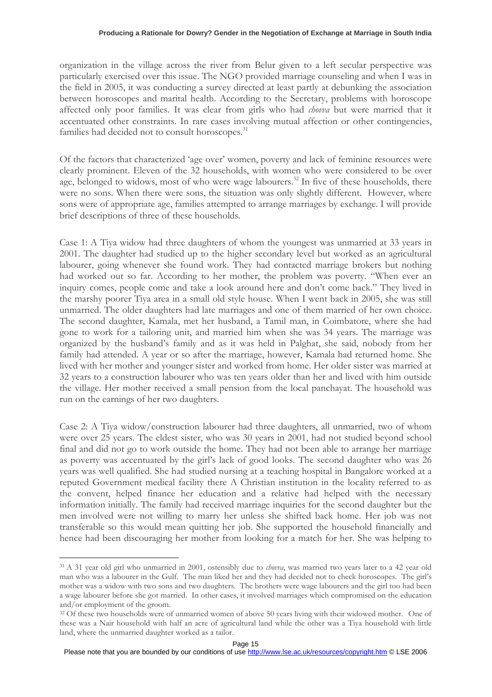organization in the village across the river from Belur given to a left secular perspective was particularly exercised over this issue. The NGO provided marriage counseling and when I was in the field in 2005, it was conducting a survey directed at least partly at debunking the association between horoscopes and marital health. According to the Secretary, problems with horoscope affected only poor families. It was clear from girls who had *chovva* but were married that it accentuated other constraints. In rare cases involving mutual affection or other contingencies, families had decided not to consult horoscopes.<sup>31</sup>

Of the factors that characterized 'age over' women, poverty and lack of feminine resources were clearly prominent. Eleven of the 32 households, with women who were considered to be over age, belonged to widows, most of who were wage labourers.<sup>32</sup> In five of these households, there were no sons. When there were sons, the situation was only slightly different. However, where sons were of appropriate age, families attempted to arrange marriages by exchange. I will provide brief descriptions of three of these households.

Case 1: A Tiya widow had three daughters of whom the youngest was unmarried at 33 years in 2001. The daughter had studied up to the higher secondary level but worked as an agricultural labourer, going whenever she found work. They had contacted marriage brokers but nothing had worked out so far. According to her mother, the problem was poverty. "When ever an inquiry comes, people come and take a look around here and don't come back." They lived in the marshy poorer Tiya area in a small old style house. When I went back in 2005, she was still unmarried. The older daughters had late marriages and one of them married of her own choice. The second daughter, Kamala, met her husband, a Tamil man, in Coimbatore, where she had gone to work for a tailoring unit, and married him when she was 34 years. The marriage was organized by the husband's family and as it was held in Palghat, she said, nobody from her family had attended. A year or so after the marriage, however, Kamala had returned home. She lived with her mother and younger sister and worked from home. Her older sister was married at 32 years to a construction labourer who was ten years older than her and lived with him outside the village. Her mother received a small pension from the local panchayat. The household was run on the earnings of her two daughters.

Case 2: A Tiya widow/construction labourer had three daughters, all unmarried, two of whom were over 25 years. The eldest sister, who was 30 years in 2001, had not studied beyond school final and did not go to work outside the home. They had not been able to arrange her marriage as poverty was accentuated by the girl's lack of good looks. The second daughter who was 26 years was well qualified. She had studied nursing at a teaching hospital in Bangalore worked at a reputed Government medical facility there A Christian institution in the locality referred to as the convent, helped finance her education and a relative had helped with the necessary information initially. The family had received marriage inquiries for the second daughter but the men involved were not willing to marry her unless she shifted back home. Her job was not transferable so this would mean quitting her job. She supported the household financially and hence had been discouraging her mother from looking for a match for her. She was helping to

<sup>&</sup>lt;sup>31</sup> A 31 year old girl who unmarried in 2001, ostensibly due to *chovva*, was married two years later to a 42 year old man who was a labourer in the Gulf. The man liked her and they had decided not to check horoscopes. The girl's mother was a widow with two sons and two daughters. The brothers were wage labourers and the girl too had been a wage labourer before she got married. In other cases, it involved marriages which compromised on the education and/or employment of the groom.

<sup>&</sup>lt;sup>32</sup> Of these two households were of unmarried women of above 50 years living with their widowed mother. One of these was a Nair household with half an acre of agricultural land while the other was a Tiya household with little land, where the unmarried daughter worked as a tailor.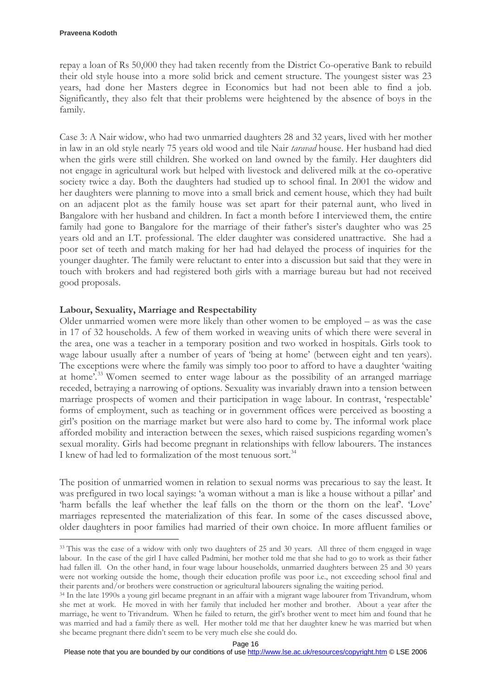$\overline{a}$ 

repay a loan of Rs 50,000 they had taken recently from the District Co-operative Bank to rebuild their old style house into a more solid brick and cement structure. The youngest sister was 23 years, had done her Masters degree in Economics but had not been able to find a job. Significantly, they also felt that their problems were heightened by the absence of boys in the family.

Case 3: A Nair widow, who had two unmarried daughters 28 and 32 years, lived with her mother in law in an old style nearly 75 years old wood and tile Nair taravad house. Her husband had died when the girls were still children. She worked on land owned by the family. Her daughters did not engage in agricultural work but helped with livestock and delivered milk at the co-operative society twice a day. Both the daughters had studied up to school final. In 2001 the widow and her daughters were planning to move into a small brick and cement house, which they had built on an adjacent plot as the family house was set apart for their paternal aunt, who lived in Bangalore with her husband and children. In fact a month before I interviewed them, the entire family had gone to Bangalore for the marriage of their father's sister's daughter who was 25 years old and an I.T. professional. The elder daughter was considered unattractive. She had a poor set of teeth and match making for her had had delayed the process of inquiries for the younger daughter. The family were reluctant to enter into a discussion but said that they were in touch with brokers and had registered both girls with a marriage bureau but had not received good proposals.

## Labour, Sexuality, Marriage and Respectability

Older unmarried women were more likely than other women to be employed – as was the case in 17 of 32 households. A few of them worked in weaving units of which there were several in the area, one was a teacher in a temporary position and two worked in hospitals. Girls took to wage labour usually after a number of years of 'being at home' (between eight and ten years). The exceptions were where the family was simply too poor to afford to have a daughter 'waiting at home'.<sup>33</sup> Women seemed to enter wage labour as the possibility of an arranged marriage receded, betraying a narrowing of options. Sexuality was invariably drawn into a tension between marriage prospects of women and their participation in wage labour. In contrast, 'respectable' forms of employment, such as teaching or in government offices were perceived as boosting a girl's position on the marriage market but were also hard to come by. The informal work place afforded mobility and interaction between the sexes, which raised suspicions regarding women's sexual morality. Girls had become pregnant in relationships with fellow labourers. The instances I knew of had led to formalization of the most tenuous sort.<sup>34</sup>

The position of unmarried women in relation to sexual norms was precarious to say the least. It was prefigured in two local sayings: 'a woman without a man is like a house without a pillar' and 'harm befalls the leaf whether the leaf falls on the thorn or the thorn on the leaf'. 'Love' marriages represented the materialization of this fear. In some of the cases discussed above, older daughters in poor families had married of their own choice. In more affluent families or

<sup>&</sup>lt;sup>33</sup> This was the case of a widow with only two daughters of 25 and 30 years. All three of them engaged in wage labour. In the case of the girl I have called Padmini, her mother told me that she had to go to work as their father had fallen ill. On the other hand, in four wage labour households, unmarried daughters between 25 and 30 years were not working outside the home, though their education profile was poor i.e., not exceeding school final and their parents and/or brothers were construction or agricultural labourers signaling the waiting period.

<sup>34</sup> In the late 1990s a young girl became pregnant in an affair with a migrant wage labourer from Trivandrum, whom she met at work. He moved in with her family that included her mother and brother. About a year after the marriage, he went to Trivandrum. When he failed to return, the girl's brother went to meet him and found that he was married and had a family there as well. Her mother told me that her daughter knew he was married but when she became pregnant there didn't seem to be very much else she could do.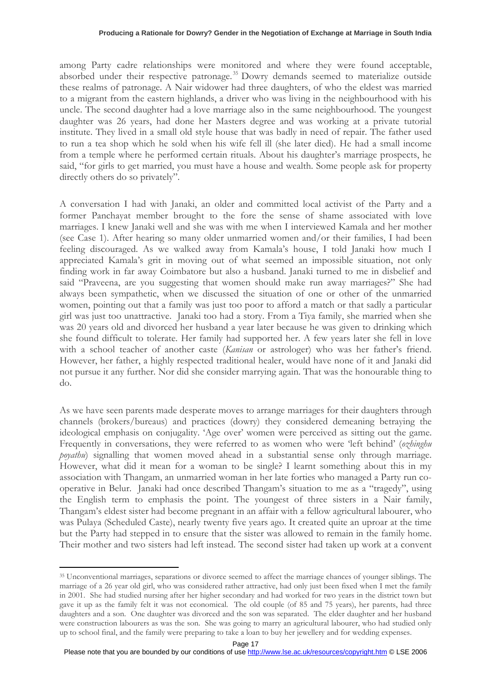among Party cadre relationships were monitored and where they were found acceptable, absorbed under their respective patronage.<sup>35</sup> Dowry demands seemed to materialize outside these realms of patronage. A Nair widower had three daughters, of who the eldest was married to a migrant from the eastern highlands, a driver who was living in the neighbourhood with his uncle. The second daughter had a love marriage also in the same neighbourhood. The youngest daughter was 26 years, had done her Masters degree and was working at a private tutorial institute. They lived in a small old style house that was badly in need of repair. The father used to run a tea shop which he sold when his wife fell ill (she later died). He had a small income from a temple where he performed certain rituals. About his daughter's marriage prospects, he said, "for girls to get married, you must have a house and wealth. Some people ask for property directly others do so privately".

A conversation I had with Janaki, an older and committed local activist of the Party and a former Panchayat member brought to the fore the sense of shame associated with love marriages. I knew Janaki well and she was with me when I interviewed Kamala and her mother (see Case 1). After hearing so many older unmarried women and/or their families, I had been feeling discouraged. As we walked away from Kamala's house, I told Janaki how much I appreciated Kamala's grit in moving out of what seemed an impossible situation, not only finding work in far away Coimbatore but also a husband. Janaki turned to me in disbelief and said "Praveena, are you suggesting that women should make run away marriages?" She had always been sympathetic, when we discussed the situation of one or other of the unmarried women, pointing out that a family was just too poor to afford a match or that sadly a particular girl was just too unattractive. Janaki too had a story. From a Tiya family, she married when she was 20 years old and divorced her husband a year later because he was given to drinking which she found difficult to tolerate. Her family had supported her. A few years later she fell in love with a school teacher of another caste (Kanisan or astrologer) who was her father's friend. However, her father, a highly respected traditional healer, would have none of it and Janaki did not pursue it any further. Nor did she consider marrying again. That was the honourable thing to do.

As we have seen parents made desperate moves to arrange marriages for their daughters through channels (brokers/bureaus) and practices (dowry) they considered demeaning betraying the ideological emphasis on conjugality. 'Age over' women were perceived as sitting out the game. Frequently in conversations, they were referred to as women who were 'left behind' (ozhinghu poyathu) signalling that women moved ahead in a substantial sense only through marriage. However, what did it mean for a woman to be single? I learnt something about this in my association with Thangam, an unmarried woman in her late forties who managed a Party run cooperative in Belur. Janaki had once described Thangam's situation to me as a "tragedy", using the English term to emphasis the point. The youngest of three sisters in a Nair family, Thangam's eldest sister had become pregnant in an affair with a fellow agricultural labourer, who was Pulaya (Scheduled Caste), nearly twenty five years ago. It created quite an uproar at the time but the Party had stepped in to ensure that the sister was allowed to remain in the family home. Their mother and two sisters had left instead. The second sister had taken up work at a convent

<sup>35</sup> Unconventional marriages, separations or divorce seemed to affect the marriage chances of younger siblings. The marriage of a 26 year old girl, who was considered rather attractive, had only just been fixed when I met the family in 2001. She had studied nursing after her higher secondary and had worked for two years in the district town but gave it up as the family felt it was not economical. The old couple (of 85 and 75 years), her parents, had three daughters and a son. One daughter was divorced and the son was separated. The elder daughter and her husband were construction labourers as was the son. She was going to marry an agricultural labourer, who had studied only up to school final, and the family were preparing to take a loan to buy her jewellery and for wedding expenses.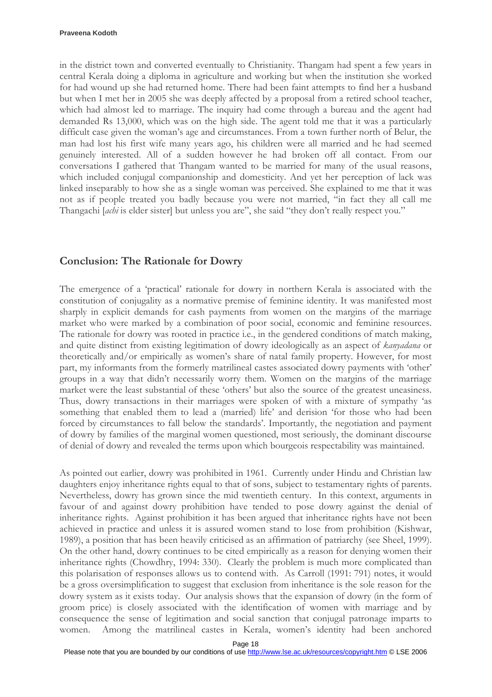in the district town and converted eventually to Christianity. Thangam had spent a few years in central Kerala doing a diploma in agriculture and working but when the institution she worked for had wound up she had returned home. There had been faint attempts to find her a husband but when I met her in 2005 she was deeply affected by a proposal from a retired school teacher, which had almost led to marriage. The inquiry had come through a bureau and the agent had demanded Rs 13,000, which was on the high side. The agent told me that it was a particularly difficult case given the woman's age and circumstances. From a town further north of Belur, the man had lost his first wife many years ago, his children were all married and he had seemed genuinely interested. All of a sudden however he had broken off all contact. From our conversations I gathered that Thangam wanted to be married for many of the usual reasons, which included conjugal companionship and domesticity. And yet her perception of lack was linked inseparably to how she as a single woman was perceived. She explained to me that it was not as if people treated you badly because you were not married, "in fact they all call me Thangachi [achi is elder sister] but unless you are", she said "they don't really respect you."

## Conclusion: The Rationale for Dowry

The emergence of a 'practical' rationale for dowry in northern Kerala is associated with the constitution of conjugality as a normative premise of feminine identity. It was manifested most sharply in explicit demands for cash payments from women on the margins of the marriage market who were marked by a combination of poor social, economic and feminine resources. The rationale for dowry was rooted in practice i.e., in the gendered conditions of match making, and quite distinct from existing legitimation of dowry ideologically as an aspect of kanyadana or theoretically and/or empirically as women's share of natal family property. However, for most part, my informants from the formerly matrilineal castes associated dowry payments with 'other' groups in a way that didn't necessarily worry them. Women on the margins of the marriage market were the least substantial of these 'others' but also the source of the greatest uneasiness. Thus, dowry transactions in their marriages were spoken of with a mixture of sympathy 'as something that enabled them to lead a (married) life' and derision 'for those who had been forced by circumstances to fall below the standards'. Importantly, the negotiation and payment of dowry by families of the marginal women questioned, most seriously, the dominant discourse of denial of dowry and revealed the terms upon which bourgeois respectability was maintained.

As pointed out earlier, dowry was prohibited in 1961. Currently under Hindu and Christian law daughters enjoy inheritance rights equal to that of sons, subject to testamentary rights of parents. Nevertheless, dowry has grown since the mid twentieth century. In this context, arguments in favour of and against dowry prohibition have tended to pose dowry against the denial of inheritance rights. Against prohibition it has been argued that inheritance rights have not been achieved in practice and unless it is assured women stand to lose from prohibition (Kishwar, 1989), a position that has been heavily criticised as an affirmation of patriarchy (see Sheel, 1999). On the other hand, dowry continues to be cited empirically as a reason for denying women their inheritance rights (Chowdhry, 1994: 330). Clearly the problem is much more complicated than this polarisation of responses allows us to contend with. As Carroll (1991: 791) notes, it would be a gross oversimplification to suggest that exclusion from inheritance is the sole reason for the dowry system as it exists today. Our analysis shows that the expansion of dowry (in the form of groom price) is closely associated with the identification of women with marriage and by consequence the sense of legitimation and social sanction that conjugal patronage imparts to women. Among the matrilineal castes in Kerala, women's identity had been anchored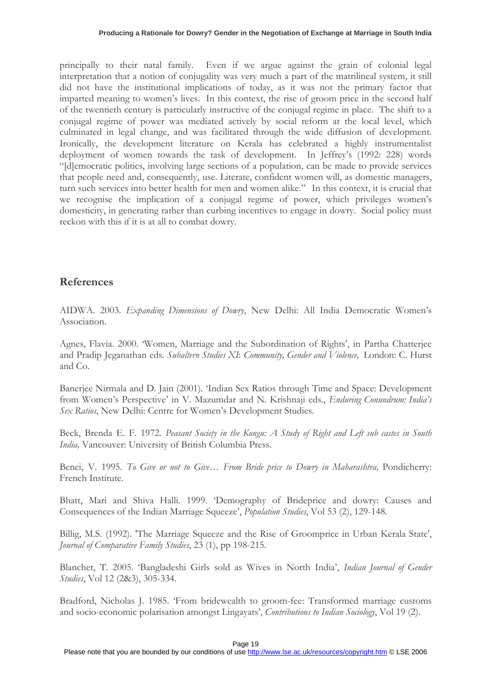principally to their natal family. Even if we argue against the grain of colonial legal interpretation that a notion of conjugality was very much a part of the matrilineal system, it still did not have the institutional implications of today, as it was not the primary factor that imparted meaning to women's lives. In this context, the rise of groom price in the second half of the twentieth century is particularly instructive of the conjugal regime in place. The shift to a conjugal regime of power was mediated actively by social reform at the local level, which culminated in legal change, and was facilitated through the wide diffusion of development. Ironically, the development literature on Kerala has celebrated a highly instrumentalist deployment of women towards the task of development. In Jeffrey's (1992: 228) words "[d]emocratic politics, involving large sections of a population, can be made to provide services that people need and, consequently, use. Literate, confident women will, as domestic managers, turn such services into better health for men and women alike." In this context, it is crucial that we recognise the implication of a conjugal regime of power, which privileges women's domesticity, in generating rather than curbing incentives to engage in dowry. Social policy must reckon with this if it is at all to combat dowry.

# References

AIDWA. 2003. Expanding Dimensions of Dowry, New Delhi: All India Democratic Women's Association.

Agnes, Flavia. 2000. 'Women, Marriage and the Subordination of Rights', in Partha Chatterjee and Pradip Jeganathan eds. Subaltern Studies XI: Community, Gender and Violence, London: C. Hurst and Co.

Banerjee Nirmala and D. Jain (2001). 'Indian Sex Ratios through Time and Space: Development from Women's Perspective' in V. Mazumdar and N. Krishnaji eds., Enduring Conundrum: India's Sex Ratios, New Delhi: Centre for Women's Development Studies.

Beck, Brenda E. F. 1972. Peasant Society in the Kongu: A Study of Right and Left sub castes in South India, Vancouver: University of British Columbia Press.

Benei, V. 1995. To Give or not to Give... From Bride price to Dowry in Maharashtra, Pondicherry: French Institute.

Bhatt, Mari and Shiva Halli. 1999. 'Demography of Brideprice and dowry: Causes and Consequences of the Indian Marriage Squeeze', Population Studies, Vol 53 (2), 129-148.

Billig, M.S. (1992). 'The Marriage Squeeze and the Rise of Groomprice in Urban Kerala State', Journal of Comparative Family Studies, 23 (1), pp 198-215.

Blanchet, T. 2005. 'Bangladeshi Girls sold as Wives in North India', Indian Journal of Gender Studies, Vol 12 (2&3), 305-334.

Bradford, Nicholas J. 1985. 'From bridewealth to groom-fee: Transformed marriage customs and socio-economic polarisation amongst Lingayats', Contributions to Indian Sociology, Vol 19 (2).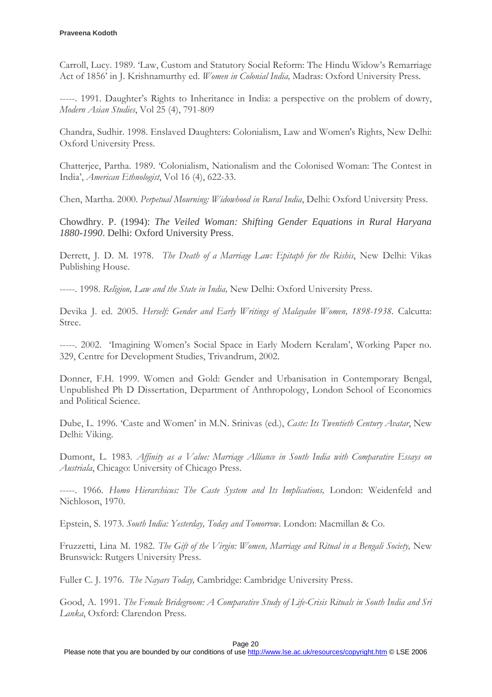Carroll, Lucy. 1989. 'Law, Custom and Statutory Social Reform: The Hindu Widow's Remarriage Act of 1856' in J. Krishnamurthy ed. Women in Colonial India, Madras: Oxford University Press.

-----. 1991. Daughter's Rights to Inheritance in India: a perspective on the problem of dowry, Modern Asian Studies, Vol 25 (4), 791-809

Chandra, Sudhir. 1998. Enslaved Daughters: Colonialism, Law and Women's Rights, New Delhi: Oxford University Press.

Chatterjee, Partha. 1989. 'Colonialism, Nationalism and the Colonised Woman: The Contest in India', American Ethnologist, Vol 16 (4), 622-33.

Chen, Martha. 2000. Perpetual Mourning: Widowhood in Rural India, Delhi: Oxford University Press.

Chowdhry. P. (1994): *The Veiled Woman: Shifting Gender Equations in Rural Haryana 1880-1990*. Delhi: Oxford University Press.

Derrett, J. D. M. 1978. The Death of a Marriage Law: Epitaph for the Rishis, New Delhi: Vikas Publishing House.

-----. 1998. Religion, Law and the State in India, New Delhi: Oxford University Press.

Devika J. ed. 2005. Herself: Gender and Early Writings of Malayalee Women, 1898-1938. Calcutta: Stree.

-----. 2002. 'Imagining Women's Social Space in Early Modern Keralam', Working Paper no. 329, Centre for Development Studies, Trivandrum, 2002.

Donner, F.H. 1999. Women and Gold: Gender and Urbanisation in Contemporary Bengal, Unpublished Ph D Dissertation, Department of Anthropology, London School of Economics and Political Science.

Dube, L. 1996. 'Caste and Women' in M.N. Srinivas (ed.), Caste: Its Twentieth Century Avatar, New Delhi: Viking.

Dumont, L. 1983. Affinity as a Value: Marriage Alliance in South India with Comparative Essays on Austriala, Chicago: University of Chicago Press.

-----. 1966. Homo Hierarchicus: The Caste System and Its Implications, London: Weidenfeld and Nichloson, 1970.

Epstein, S. 1973. South India: Yesterday, Today and Tomorrow. London: Macmillan & Co.

Fruzzetti, Lina M. 1982. The Gift of the Virgin: Women, Marriage and Ritual in a Bengali Society, New Brunswick: Rutgers University Press.

Fuller C. J. 1976. The Nayars Today, Cambridge: Cambridge University Press.

Good, A. 1991. The Female Bridegroom: A Comparative Study of Life-Crisis Rituals in South India and Sri Lanka, Oxford: Clarendon Press.

Page 20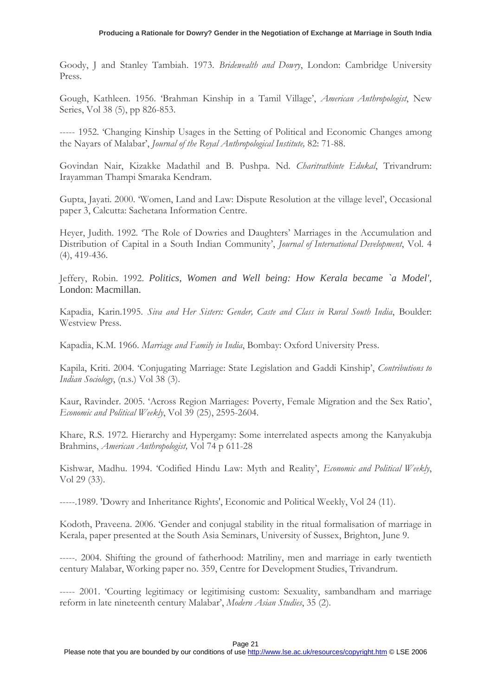Goody, J and Stanley Tambiah. 1973. Bridewealth and Dowry, London: Cambridge University Press.

Gough, Kathleen. 1956. 'Brahman Kinship in a Tamil Village', American Anthropologist, New Series, Vol 38 (5), pp 826-853.

----- 1952. 'Changing Kinship Usages in the Setting of Political and Economic Changes among the Nayars of Malabar', Journal of the Royal Anthropological Institute, 82: 71-88.

Govindan Nair, Kizakke Madathil and B. Pushpa. Nd. Charitrathinte Edukal, Trivandrum: Irayamman Thampi Smaraka Kendram.

Gupta, Jayati. 2000. 'Women, Land and Law: Dispute Resolution at the village level', Occasional paper 3, Calcutta: Sachetana Information Centre.

Heyer, Judith. 1992. 'The Role of Dowries and Daughters' Marriages in the Accumulation and Distribution of Capital in a South Indian Community', Journal of International Development, Vol. 4 (4), 419-436.

Jeffery, Robin. 1992. *Politics, Women and Well being: How Kerala became `a Model'*, London: Macmillan.

Kapadia, Karin.1995. Siva and Her Sisters: Gender, Caste and Class in Rural South India, Boulder: Westview Press.

Kapadia, K.M. 1966. Marriage and Family in India, Bombay: Oxford University Press.

Kapila, Kriti. 2004. 'Conjugating Marriage: State Legislation and Gaddi Kinship', Contributions to Indian Sociology, (n.s.) Vol 38 (3).

Kaur, Ravinder. 2005. 'Across Region Marriages: Poverty, Female Migration and the Sex Ratio', Economic and Political Weekly, Vol 39 (25), 2595-2604.

Khare, R.S. 1972. Hierarchy and Hypergamy: Some interrelated aspects among the Kanyakubja Brahmins, American Anthropologist, Vol 74 p 611-28

Kishwar, Madhu. 1994. 'Codified Hindu Law: Myth and Reality', Economic and Political Weekly, Vol 29 (33).

-----.1989. 'Dowry and Inheritance Rights', Economic and Political Weekly, Vol 24 (11).

Kodoth, Praveena. 2006. 'Gender and conjugal stability in the ritual formalisation of marriage in Kerala, paper presented at the South Asia Seminars, University of Sussex, Brighton, June 9.

-----. 2004. Shifting the ground of fatherhood: Matriliny, men and marriage in early twentieth century Malabar, Working paper no. 359, Centre for Development Studies, Trivandrum.

----- 2001. 'Courting legitimacy or legitimising custom: Sexuality, sambandham and marriage reform in late nineteenth century Malabar', Modern Asian Studies, 35 (2).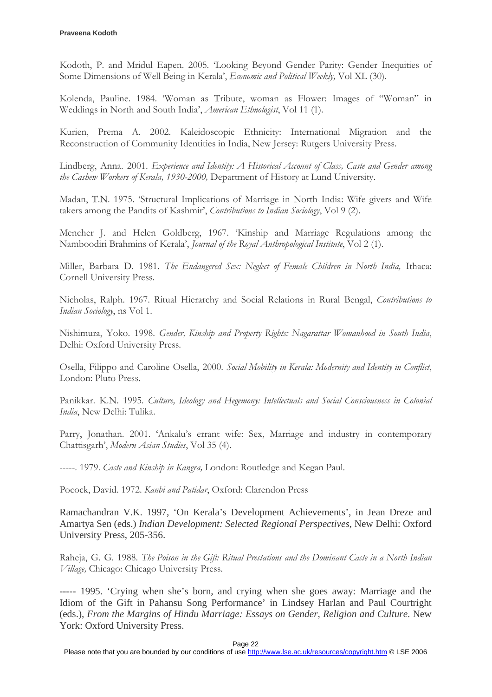Kodoth, P. and Mridul Eapen. 2005. 'Looking Beyond Gender Parity: Gender Inequities of Some Dimensions of Well Being in Kerala', Economic and Political Weekly, Vol XL (30).

Kolenda, Pauline. 1984. 'Woman as Tribute, woman as Flower: Images of "Woman" in Weddings in North and South India', American Ethnologist, Vol 11 (1).

Kurien, Prema A. 2002. Kaleidoscopic Ethnicity: International Migration and the Reconstruction of Community Identities in India, New Jersey: Rutgers University Press.

Lindberg, Anna. 2001. Experience and Identity: A Historical Account of Class, Caste and Gender among the Cashew Workers of Kerala, 1930-2000, Department of History at Lund University.

Madan, T.N. 1975. 'Structural Implications of Marriage in North India: Wife givers and Wife takers among the Pandits of Kashmir', Contributions to Indian Sociology, Vol 9 (2).

Mencher J. and Helen Goldberg, 1967. 'Kinship and Marriage Regulations among the Namboodiri Brahmins of Kerala', Journal of the Royal Anthropological Institute, Vol 2 (1).

Miller, Barbara D. 1981. The Endangered Sex: Neglect of Female Children in North India, Ithaca: Cornell University Press.

Nicholas, Ralph. 1967. Ritual Hierarchy and Social Relations in Rural Bengal, Contributions to Indian Sociology, ns Vol 1.

Nishimura, Yoko. 1998. Gender, Kinship and Property Rights: Nagarattar Womanhood in South India, Delhi: Oxford University Press.

Osella, Filippo and Caroline Osella, 2000. Social Mobility in Kerala: Modernity and Identity in Conflict, London: Pluto Press.

Panikkar. K.N. 1995. Culture, Ideology and Hegemony: Intellectuals and Social Consciousness in Colonial India, New Delhi: Tulika.

Parry, Jonathan. 2001. 'Ankalu's errant wife: Sex, Marriage and industry in contemporary Chattisgarh', Modern Asian Studies, Vol 35 (4).

-----. 1979. Caste and Kinship in Kangra, London: Routledge and Kegan Paul.

Pocock, David. 1972. Kanbi and Patidar, Oxford: Clarendon Press

Ramachandran V.K. 1997, 'On Kerala's Development Achievements', in Jean Dreze and Amartya Sen (eds.) *Indian Development: Selected Regional Perspectives,* New Delhi: Oxford University Press, 205-356.

Raheja, G. G. 1988. The Poison in the Gift: Ritual Prestations and the Dominant Caste in a North Indian Village, Chicago: Chicago University Press.

----- 1995. 'Crying when she's born, and crying when she goes away: Marriage and the Idiom of the Gift in Pahansu Song Performance' in Lindsey Harlan and Paul Courtright (eds.), *From the Margins of Hindu Marriage: Essays on Gender, Religion and Culture*. New York: Oxford University Press.

Page 22